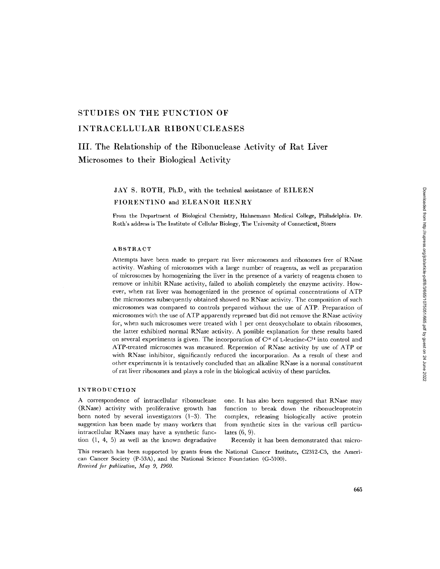### **STUDIES ON THE FUNCTION OF**

## **INTRACELLULAR RIBONUCLEASES**

## **III. The Relationship of the Ribonuclease Activity of Rat Liver Microsomes to their Biological Activity**

# JAY S. ROTH, Ph.D., with the technical assistance of EILEEN

### FIORENTINO and ELEANOR HENRY

Prom the Department of Biological Chemistry, Hahnemann Medical College, Philadelphia. Dr. Roth's address is The Institute of Cellular Biology, The University of Connecticut, Storrs

#### ABSTRACT

Attempts have been made to prepare rat liver microsomes and ribosomes free of RNase activity. Washing of microsomes with a large number of reagents, as well as preparation of microsomes by homogenizing the liver in the presence of a variety of reagents chosen to remove or inhibit RNase activity, failed to abolish completely the enzyme activity. However, when rat liver was homogenized in the presence of optimal concentrations of ATP the microsomes subsequently obtained showed no RNase activity. The composition of such microsomes was compared to controls prepared without the use of ATP. Preparation of microsomes with the use of ATP apparently repressed but did not remove the RNase activity for, when such microsomes were treated with 1 per cent deoxycholate to obtain ribosomes, the latter exhibited normal RNase activity. A possible explanation for these results based on several experiments is given. The incorporation of  $C^{14}$  of L-leucine-C<sup>14</sup> into control and ATP-treated microsomes was measured. Repression of RNase activity by use of ATP or with RNase inhibitor, significantly reduced the incorporation. As a result of these and other experiments it is tentatively concluded that an alkaline RNase is a normal constituent of rat liver ribosomes and plays a role in the biological activity of these particles.

#### INTRODUCTION

A correspondence of intracellular ribonuclease (RNase) activity with proliferative growth has been noted by several investigators (1-3). The suggestion has been made by many workers that intracellular RNases may have a synthetic function (1, 4, 5) as well as the known degradative

one. It has also been suggested that RNase may function to break down the ribonucleoprotein complex, releasing biologically active protein from synthetic sites in the various cell particulates (6, 9).

Recently it has been demonstrated that micro-

This research has been supported by grants from the National Cancer Institute, C2312-C5, the American Cancer Society (P-53A), and the National Science Foundation (G-5100). *Received for publication, May 9, 1960.*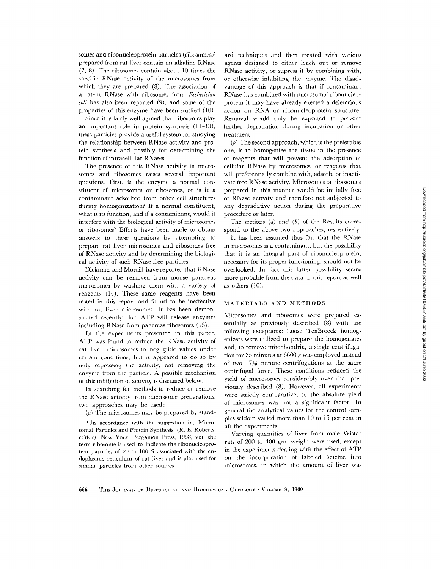somes and ribonucleoprotein particles (ribosomes)<sup>1</sup> prepared from rat liver contain an alkaline RNase (7, 8). The ribosomes contain about 10 times the specific RNase activity of the microsomes from which they are prepared (8). The association of a latent RNase with ribosomes from *Escherichia coli* has also been reported (9), and some of the properties of this enzyme have been studied (10).

Since it is fairly well agreed that ribosomes play an important role in protein synthesis (11-13), these particles provide a useful system for studying the relationship between RNase activity and protein synthesis and possibly for determining the function of intracellular RNases.

The presence of this RNase activity in microsomes and ribosomes raises several important questions. First, is the enzyme a normal constituent of microsomes or ribosomes, or is it a contaminant adsorbed from other cell structures during homogenization? If a normal constituent, what is its function, and if a contaminant, would it interfere with the biological activity of microsomes or ribosomes? Efforts have been made to obtain answers to these questions by attempting to prepare rat liver microsomes and ribosomes free of RNase activity and by determining the biological activity of such RNase-free particles.

Dickman and Morrill have reported that RNase activity can be removed from mouse pancreas microsomes by washing them with a variety of reagents (14). These same reagents have been tested in this report and found to be ineffective with rat liver microsomes. It has been demonstrated recently that ATP will release enzymes including RNase from pancreas ribosomes (15).

In the experiments presented in this paper, ATP was found to reduce the RNase activity of rat liver microsomes to negligible values under certain conditions, but it appeared to do so by only repressing the activity, not removing the enzyme from the particle. A possible mechanism of this inhibition of activity is discussed below.

In searching for methods to reduce or remove the RNase activity from microsome preparations, two approaches may be used:

(a) The microsomes may be prepared by stand-

<sup>1</sup> In accordance with the suggestion in, Microsomal Particles and Protein Synthesis, (R. E. Roberts, editor), New York, Pergamon Press, 1958, viii, the term ribosome is used to indicate the ribonucleoprotein particles of 20 to 100 S associated with the endoplasmic reticulum of rat liver and is also used for similar particles from other sources.

ard techniques and then treated with various agents designed to either leach out or remove RNase activity, or supress it by combining with, or otherwise inhibiting the enzyme. The disadvantage of this approach is that if contaminant RNase has combined with microsomal ribonucleoprotein it may have already exerted a deleterious action on RNA or ribonucleoprotein structure. Removal would only be expected to prevent further degradation during incubation or other treatment.

 $(b)$  The second approach, which is the preferable one, is to homogenize the tissue in the presence of reagents that will prevent the adsorption of cellular RNase by microsomes, or reagents that will preferentially combine with, adsorb, or inactivate free RNase activity. Microsomes or ribosomes prepared in this manner would be initially free of RNase activity and therefore not subjected to any degradative action during the preparative procedure or later.

The sections  $(a)$  and  $(b)$  of the Results correspond to the above two approaches, respectively.

It has been assumed thus far, that the RNase in microsomes is a contaminant, but the possibility that it is an integral part of ribonucleoprotein, necessary for its proper functioning, should not be overlooked. In fact this latter possibility seems more probable from the data in this report as well as others (10).

#### MATERIALS AND METHODS

Microsomes and ribosomes were prepared essentially as previously described (8) with the following exceptions: Loose TenBroeck homogenizers were utilized to prepare the homogenates and, to remove mitochondria, a single centrifugation for 35 minutes at 6600 g was employed instead of two  $17\frac{1}{2}$  minute centrifugations at the same centrifugal force. These conditions reduced the yield of microsomes considerably over that previously described (8). However, all experiments were strictly comparative, so the absolute yield of microsomes was not a significant factor. In general the analytical values for the control samples seldom varied more than 10 to 15 per cent in all the experiments.

Varying quantities of liver from male Wistar rats of 200 to 400 gm. weight were used, except in the experiments dealing with the effect of ATP on the incorporation of labeled leucine into microsomes, in which the amount of liver was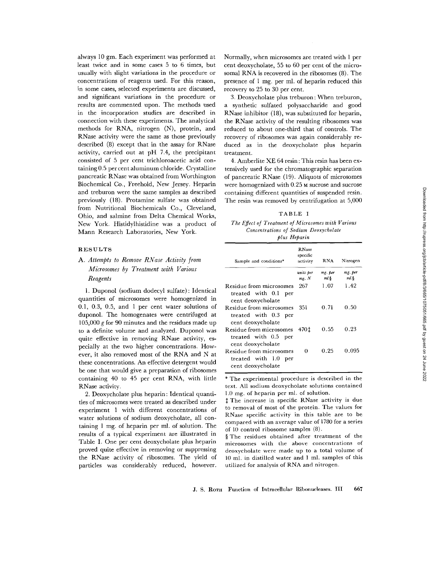Downloaded from http://rupress.org/jcb/article-pdf/8/3/665/1075051/665.pdf by guest on 24 June 2022 Downloaded from http://rupress.org/jcb/article-pdf/8/3/665/1075051/665.pdf by guest on 24 June 2022

always 10 gm. Each experiment was performed at least twice and in some cases 5 to 6 times, but usually with slight variations in the procedure or concentrations of reagents used. For this reason, in some cases, selected experiments are discussed, and significant variations in the procedure or results are commented upon. The methods used in the incorporation studies are described in connection with these experiments. The analytical methods for RNA, nitrogen (N), protein, and RNase activity were the same as those previously described (8) except that in the assay for RNase activity, carried out at pH 7.4, the precipitant consisted of 5 per cent trichloroacetic acid containing 0.5 per cent aluminum chloride. Crystalline pancreatic RNase was obtained from Worthington Biochemical Co., Freehold, New Jersey. Heparin and treburon were the same samples as described previously (18). Protamine sulfate was obtained from Nutritional Biochemicals Co., Cleveland, Ohio, and salmine from Delta Chemical Works, New York. Histidylhistidine was a product of Mann Research Laboratories, New York.

#### RESULTS

### *A. Attempts to Remove RNase Activity from Microsomes by Treatment with Various Reagents*

1. Duponol (sodium dodecyl sulfate): Identical quantities of microsomes were homogenized in 0.1, 0.3, 0.5, and 1 per cent water solutions of duponol. The homogenates were centrifuged at 105,000  $\ell$  for 90 minutes and the residues made up to a definite volume and analyzed. Duponol was quite effective in removing RNase activity, especially at the two higher concentrations. However, it also removed most of the RNA and N at these concentrations. An effective detergent would be one that would give a preparation of ribosomes containing 40 to 45 per cent RNA, with little RNase activity.

2. Deoxycholate plus heparin: Identical quantities of microsomes were treated as described under experiment 1 with different concentrations of water solutions of sodium deoxycholate, all containing 1 mg. of heparin per ml. of solution. The results of a typical experiment are illustrated in Table I. One per cent deoxycholate plus heparin proved quite effective in removing or suppressing the RNase activity of ribosomes. The yield of particles was considerably reduced, however.

Normally, when microsomes are treated with 1 per cent deoxycholate, 55 to 60 per cent of the microsomal RNA is recovered in the ribosomes (8). The presence of 1 mg. per ml. of heparin reduced this recovery to 25 to 30 per cent.

3. Deoxycholate plus treburon: When treburon, a synthetic sulfated polysaccharide and good RNase inhibitor (18), was substituted for heparin, the RNase activity of the resulting ribosomes was reduced to about one-third that of controls. The recovery of ribosomes was again considerably reduced as in the deoxycholate plus heparin treatment.

4. Amberlite XE 64 resin : This resin has been extensively used for the chromatographic separation of pancreatic RNase (19). Aliquots of microsomes were homogenized with 0.25 M sucrose and sucrose containing different quantities of suspended resin. The resin was removed by centrifugation at 5,000

|  |  | ARI | $\mathbf{r}$ | г. |  |
|--|--|-----|--------------|----|--|
|--|--|-----|--------------|----|--|

*The Effect of Treatment of Microsomes with Various Concentrations of Sodium Deoxycholate plus Heparin* 

| Sample and conditions*                                                  | <b>RNase</b><br>specific<br>activity | <b>RNA</b>         | Nitrogen         |  |
|-------------------------------------------------------------------------|--------------------------------------|--------------------|------------------|--|
|                                                                         | units per<br>$mg$ , $N$              | mg. per<br>$ml.\S$ | mg. per<br>ml \$ |  |
| Residue from microsomes<br>treated with 0.1 per<br>cent deoxycholate    | 267                                  | 1.07               | 1.42             |  |
| Residue from microsomes<br>treated with 0.3 per<br>cent deoxycholate    | 351                                  | 0.71               | 0.50             |  |
| Residue from microsomes<br>treated with 0.5 per<br>cent deoxycholate    | 470 t                                | 0.55               | 0.23             |  |
| Residue from microsomes<br>treated with 1.0<br>per<br>cent deoxycholate | 0                                    | 0.25               | 0.095            |  |

\* The experimental procedure is described in the text. All sodium deoxycholate solutions contained 1.0 mg. of heparin per ml. of solution.

 $~$  The increase in specific RNase activity is due to removal of most of the protein. The values for RNase specific activity in this table are to be compared with an average value of 1780 for a series of l0 control ribosome samples (8).

§ The residues obtained after treatment of the microsomes with the above concentrations of deoxyeholate were made up to a total volume of 10 ml. in distilled water and 1 ml. samples of this utilized for analysis of RNA and nitrogen.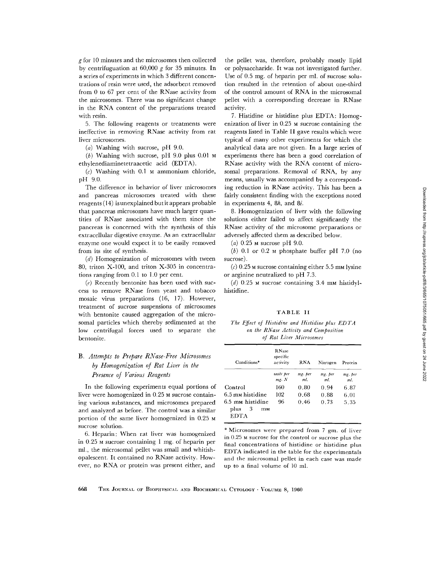g for l0 minutes and the microsomes then collected by centrifuguation at  $60,000$  g for 35 minutes. In a series of experiments in which 3 different concentrations of resin were used, the adsorbent removed from 0 to 67 per cent of the RNase activity from the microsomes. There was no significant change in the RNA content of the preparations treated with resin.

5. The following reagents or treatments were ineffective in removing RNase activity from rat liver microsomes.

(a) Washing with sucrose, pH  $9.0$ .

 $(b)$  Washing with sucrose, pH 9.0 plus 0.01 M ethylenediaminetetraacetic acid (EDTA).

 $(c)$  Washing with 0.1 M ammonium chloride, pH 9.0.

The difference in behavior of liver microsomes and pancreas microsomes treated with these reagents (14) isunexplained but it appears probable that pancreas microsomes have much larger quantities of RNase associated with them since the pancreas is concerned with the synthesis of this extracellular digestive enzyme. As an extracellular enzyme one would expect it to be easily removed from its site of synthesis.

(d) Homogenization of microsomes with tween 80, triton X-100, and triton X-305 in concentrations ranging from 0.1 to 1.0 per cent.

 $(e)$  Recently bentonite has been used with success to remove RNase from yeast and tobacco mosaic virus preparations (16, 17). However, treatment of sucrose suspensions of microsomes with bentonite caused aggregation of the microsomal particles which thereby sedimented at the low centrifugal forces used to separate the bentonite.

### *B. Attempts to Prepare RNase-Free Microsomes by Homogenization of Rat Liver in the Presence of Various Reagents*

In the following experiments equal portions of liver were homogenized in 0.25 M sucrose containing various substances, and microsomes prepared and analyzed as before. The control was a similar portion of the same liver homogenized in 0.25 M sucrose solution.

6. Heparin: When rat liver was homogenized in 0.25 M sucrose containing 1 mg. of heparin per ml., the microsomal pellet was small and whitishopalescent. It contained no RNase activity. However, no RNA or protein was present either, and

the pellet was, therefore, probably mostly lipid or polysaccharide. It was not investigated further. Use of 0.5 mg. of heparin per ml. of sucrose solution resulted in the retention of about one-third of the control amount of RNA in the microsomal pellet with a corresponding decrease in RNase activity.

7. Histidine or histidine plus EDTA: Homogenization of liver in 0.25 M sucrose containing the reagents listed in Table II gave results which were typical of many other experiments for which the analytical data are not given. In a large series of experiments there has been a good correlation of RNase activity with the RNA content of microsomal preparations. Removal of RNA, by any means, usually was accompanied by a corresponding reduction in RNase activity. This has been a fairly consistent finding with the exceptions noted in experiments 4, 8h, and 8i.

8. Homogenization of liver with the following solutions either failed to affect significantly the RNase activity of the microsome preparations or adversely affected them as described below.

(a)  $0.25$  M sucrose pH 9.0.

 $(b)$  0.1 or 0.2 M phosphate buffer pH 7.0 (no sucrose).

 $(c)$  0.25 M sucrose containing either 5.5 mM lysine or arginine neutralized to pH 7.3.

(d)  $0.25$  M sucrose containing 3.4 mM histidylhistidine.

#### TABLE II

*The Effect of Histidine and Histidine plus ED TA on the RNase Activity and Composition*   $of$  Rat Liver Microsomes

| Conditions*                                        | <b>RNase</b><br>specific<br>activity | <b>RNA</b>     | Nitrogen       | Protein        |  |
|----------------------------------------------------|--------------------------------------|----------------|----------------|----------------|--|
|                                                    | units per<br>mg. N                   | mg. per<br>ml. | mg. per<br>ml. | mg. per<br>ml. |  |
| Control                                            | 160                                  | 0.80           | 6.87           |                |  |
| 6.5 mм histidine                                   | 102                                  | 0.68<br>0.88   |                |                |  |
| 6.5 mm histidine<br>3<br>plus<br>mм<br><b>EDTA</b> | 96                                   | 0.46           | 0.73           | 5.35           |  |

\* Microsomes were prepared from 7 gm. of liver in 0.25 M sucrose for the control or sucrose plus the final concentrations of histidine or histidine plus EDTA indicated in the table for the experimentals and the microsomal pellet in each case was made up to a final volume of 10 ml.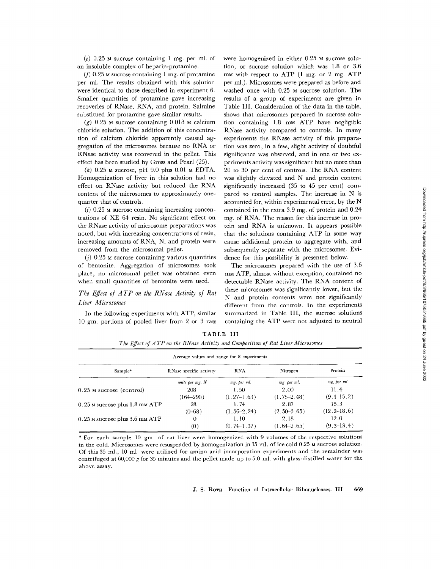$(e)$  0.25 M sucrose containing 1 mg. per ml. of an insoluble complex of heparin-protamine.

 $(f)$  0.25 M sucrose containing 1 mg. of protamine per ml. The results obtained with this solution were identical to those described in experiment 6. Smaller quantities of protamine gave increasing recoveries of RNase, RNA, and protein. Salmine substitued for protamine gave similar results.

 $(g)$  0.25 M sucrose containing 0.018 M calcium chloride solution. The addition of this concentration of calcium chloride apparently caused aggregation of the microsomes because no RNA or RNase activity was recovered in the pellet. This effect has been studied by Gross and Pearl (25).

 $(h)$  0.25  $M$  sucrose, pH 9.0 plus 0.01  $M$  EDTA. Homogenization of liver in this solution had no effect on RNase activity but reduced the RNA content of the microsomes to approximately onequarter that of controls.

 $(i)$  0.25 M sucrose containing increasing concentrations of XE 64 resin. No significant effect on the RNase activity of microsome preparations was noted, but with increasing concentrations of resin, increasing amounts of RNA, N, and protein were removed from the microsomal pellet.

 $(i)$  0.25 M sucrose containing various quantities of bentonite. Aggregation of microsomes took place; no microsomal pellet was obtained even when small quantities of bentonite were used.

### *The Effect of A TP on the RNase Activity of Rat Liver Microsomes*

In the following experiments with ATP, similar 10 gm. portions of pooled liver from 2 or 3 rats were homogenized in either 0.25 M sucrose solution, or sucrose solution which was 1.8 or 3.6 mm with respect to ATP (1 mg. or 2 mg. ATP) per ml.). Microsomes were prepared as before and washed once with 0.25 M sucrose solution. The results of a group of experiments are given in Table III. Consideration of the data in the table, shows that microsomes prepared in sucrose solution containing 1.8 mM ATP have negligible RNase activity compared to controls. In many experiments the RNase activity of this preparation was zero; in a few, slight activity of doubtful significance was observed, and in one or two experiments activity was significant but no more than 20 to 30 per cent of controls. The RNA content was slightly elevated and N and protein content significantly increased (35 to 45 per cent) compared to control samples. The increase in N is accounted for, within experimental error, by the N contained in the extra 3.9 mg. of protein and 0.24 mg. of RNA. The reason for this increase in protein and RNA is unknown. It appears possible that the solutions containing ATP in some way cause additional protein to aggregate with, and subsequently separate with the microsomes. Evidence for this possibility is presented below.

The microsomes prepared with the use of 3.6 mM ATP, almost without exception, contained no detectable RNase activity. The RNA content of these microsomes was significantly lower, but the N and protein contents were not significantly different from the controls. In the experiments summarized in Table III, the sucrose solutions containing the ATP were not adjusted to neutral

*The Effect of A TP on the RNase Activity and Composition of Rat Liver Microsomes*  Average values and range for 8 experiments Sample\* RNase specific activity RNA Nitrogen Protein 0.25 M sucrose (control) *units per mg. N mg. per ml. mg. per ml. mg. per ml* 208 1.50 2.00 11.4

**TABLE** III

|                                    | (164–290)  | $(1.27-1.63)$                                                                                                        | $(1.75 - 2.48)$ | $(9.4 - 15.2)$  |
|------------------------------------|------------|----------------------------------------------------------------------------------------------------------------------|-----------------|-----------------|
| $0.25$ M sucrose plus 1.8 mm ATP   | 28         | 1.74                                                                                                                 | 987             | 15.3            |
|                                    | $(0 - 68)$ | $(1.56-2.24)$                                                                                                        | $(2.50-3.65)$   | $(12.2 - 18.6)$ |
| $0.25$ M sucrose plus $3.6$ mM ATP |            | 1.10                                                                                                                 | 2.18            | 12.0            |
|                                    | (0)        | $(0.74 - 1.37)$                                                                                                      | $(1.64 - 2.65)$ | $(9.3-13.4)$    |
| - 50                               |            | بمأهد المتحدث والمستحيل المتحال المستحدث المتحال المستحدث المستحدث والمستحدث والمستحدث والمستحدث والمستحدث والمستحدث |                 |                 |

\* For each sample 10 gm. of rat liver were homogenized with 9 volumes of the respective solutions in the cold. Microsomes were resuspended by homogenization in 35 ml. of ice cold 0.25 M sucrose solution. Of this 35 ml., 10 ml. were utilized for amino acid incorporation experiments and the remainder was centrifuged at 60,000 g for 35 minutes and the pellet made up to 5.0 ml. with glass-distilled water for the above assay.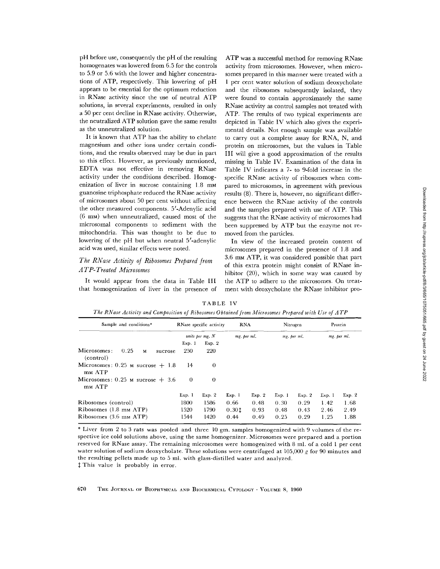pH before use, consequently the pH of the resulting homogenates was lowered from 6.5 for the controls to 5.9 or 5.6 with the lower and higher concentrations of ATP, respectively. This lowering of pH appears to be essential for the optimum reduction in RNase activity since the use of neutral ATP solutions, in several experiments, resulted in only a 50 per cent decline in RNase activity. Otherwise, the neutralized ATP solution gave the same results as the unneutralized solution.

It is known that ATP has the ability to chelate magnesium and other ions under certain conditions, and the results observed may be due in part to this effect. However, as previously mentioned, EDTA was not effective in removing RNase activity under the conditions described. Homogenization of liver in sucrose containing 1.8 mm guanosine triphosphate reduced the RNase activity of microsomes about 50 per cent without affecting the other measured components. 5'-Adenylic acid (6 mM) when unneutralized, caused most of the microsomal components to sediment with the mitochondria. This was thought to be due to lowering of the pH but when neutral 5'-adenylic acid was used, similar effects were noted.

### *The RNase Activity of Ribosomes Prepared from A TP-Treated Microsomes*

It would appear from the data in Table III that homogenization of liver in the presence of ATP was a successful method for removing RNase activity from microsomes. However, when microsomes prepared in this manner were treated with a 1 per cent water solution of sodium deoxycholate and the ribosomes subsequently isolated, they were found to contain approximately the same RNase activity as control samples not treated with ATP. The results of two typical experiments are depicted in Table IV which also gives the experimental details. Not enough sample was available to carry out a complete assay for RNA, N, and protein on microsomes, but the values in Table III will give a good approximation of the results missing in Table IV. Examination of the data in Table IV indicates a 7- to 9-fold increase in the specific RNase activity of ribosomes when compared to microsomes, in agreement with previous results (8). There is, however, no significant difference between the RNase activity of the controls and the samples prepared with use of ATP. This suggests that the RNase activity of microsomes had been suppressed by ATP but the enzyme not removed from the particles.

In view of the increased protein content of microsomes prepared in the presence of 1.8 and 3.6 mM ATP, it was considered possible that part of this extra protein might consist of RNase inhibitor (20), which in some way was caused by the ATP to adhere to the microsomes. On treatment with deoxycholate the RNase inhibitor pro-

TABLE IV

|  |  |  |  |  |  |  | The RNase Activity and Composition of Ribosomes Obtained from Microsomes Prepared with Use of ATP |
|--|--|--|--|--|--|--|---------------------------------------------------------------------------------------------------|
|--|--|--|--|--|--|--|---------------------------------------------------------------------------------------------------|

| Sample and conditions*                           |                 | RNase specific activity |        | <b>RNA</b>  |        | Nitrogen    |       | Protein     |  |
|--------------------------------------------------|-----------------|-------------------------|--------|-------------|--------|-------------|-------|-------------|--|
|                                                  | units per mg. N |                         |        | mg, per ml. |        | mg, per ml. |       | mg. per ml. |  |
|                                                  | Exp. 1          | Exp. 2                  |        |             |        |             |       |             |  |
| Microsomes:<br>0.25<br>M<br>sucrose<br>(control) | 250             | 220                     |        |             |        |             |       |             |  |
| Microsomes: 0.25 $\mu$ sucrose + 1.8<br>mm ATP   | 14              | 0                       |        |             |        |             |       |             |  |
| Microsomes: $0.25$ M sucrose $+3.6$<br>mm ATP    | $\theta$        | 0                       |        |             |        |             |       |             |  |
|                                                  | Exp. 1          | Exp. 2                  | Exp. 1 | Exp. 2      | Exp. 1 | Exp. 2      | Exp.1 | Exp. 2      |  |
| Ribosomes (control)                              | 1800            | 1586                    | 0.66   | 0.48        | 0.30   | 0.29        | 1.42  | 1.68        |  |
| Ribosomes (1.8 mm ATP)                           | 1520            | 1790                    | 0.301  | 0.93        | 0.48   | 0.43        | 2.46  | 2.49        |  |
| Ribosomes (3.6 mm ATP)                           | 1544            | 1420                    | 0.44   | 0.49        | 0.25   | 0.29        | 1.25  | 1.88        |  |

\* Liver from 2 to 3 rats was pooled and three 10 gm. samples homogenized with 9 volumes of the respective ice cold solutions above, using the same homogenizer. Microsomes were prepared and a portion reserved for RNase assay. The remaining microsomes were homogenized with 8 ml. of a cold 1 per cent water solution of sodium deoxycholate. These solutions were centrifuged at  $105,000\ g$  for 90 minutes and the resulting pellets made up to 5 ml. with glass-distilled water and analyzed. This value is probably in error.

670 THE JOURNAL OF BIOPHYSICAL AND BIOCHEMICAL CYTOLOGY · VOLUME 8, 1960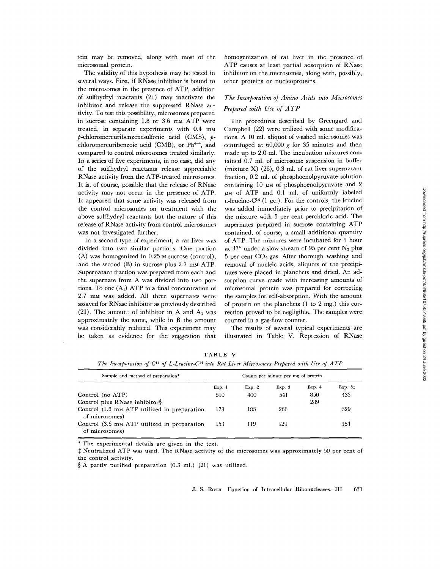tein may be removed, along with most of the microsomal protein.

The validity of this hypothesis may be tested in several ways. First, if RNase inhibitor is bound to the microsomes in the presence of ATP, addition of sulfhydryl reactants (21) may inactivate the inhibitor and release the suppressed RNase activity. To test this possibility, microsomes prepared in sucrose containing 1.8 or 3.6 mm ATP were treated, in separate experiments with  $0.4$  mm  $p$ -chloromercuribenzenesulfonic acid (CMS),  $p$ chloromercuribenzoic acid (CMB), or  $Pb^{++}$ , and compared to control microsomes treated similarly. In a series of five experiments, in no case, did any of the sulfhydryl reactants release appreciable RNase activity from the ATP-treated microsomes. It is, of course, possible that the release of RNase activity may not occur in the presence of ATP. It appeared that some activity was released from the control microsomes on treatment with the above sulfhydryl reactants but the nature of this release of RNase activity from control mierosomes was not investigated further.

In a second type of experiment, a rat liver was divided into two similar portions. One portion (A) was homogenized in 0.25 M sucrose (control), and the second  $(B)$  in sucrose plus 2.7 mm ATP. Supernatant fraction was prepared from each and the supernate from A was divided into two portions. To one  $(A_1)$  ATP to a final concentration of 2.7 mm was added. All three supernates were assayed for RNase inhibitor as previously described (21). The amount of inhibitor in A and  $A_1$  was approximately the same, while in B the amount was considerably reduced. This experiment may be taken as evidence for the suggestion that homogenization of rat liver in the presence of ATP causes at least partial adsorption of RNase inhibitor on the microsomes, along with, possibly, other proteins or nucleoproteins.

### *The Incorporation of Amino Acids into Microsomes Prepared with Use of A TP*

The procedures described by Greengard and Campbell (22) were utilized with some modifications. A 10 ml. aliquot of washed microsomes was centrifuged at  $60,000$  g for 35 minutes and then made up to 2.0 ml. The incubation mixtures contained 0.7 ml. of microsome suspension in buffer (mixture  $X$ ) (26), 0.3 ml. of rat liver supernatant fraction, 0.2 ml. of phosphoenolpyruvate solution containing 10  $\mu$ M of phosphoenolpyruvate and 2  $\mu$ M of ATP and 0.1 ml. of uniformly labeled L-leucine-C<sup>14</sup> (1  $\mu$ c.). For the controls, the leucine was added immediately prior to precipitation of the mixture with 5 per cent perchlorie acid. The supernates prepared in sucrose containing ATP contained, of course, a small additional quantity of ATP. The mixtures were incubated for 1 hour at 37° under a slow stream of 95 per cent  $N_2$  plus 5 per cent  $CO<sub>2</sub>$  gas. After thorough washing and removal of nucleic acids, aliquots of the precipitates were placed in planchets and dried. An adsorption curve made with increasing amounts of microsomal protein was prepared for correcting the samples for self-absorption. With the amount of protein on the planchets (1 to 2 mg.) this correction proved to be negligible. The samples were counted in a gas-flow counter.

The results of several typical experiments are illustrated in Table V. Repression of RNase

154

Sample and method of preparation\* Counts per minute per mg of protein Exp. 1 Exp. 2 Exp. 3 Control (no ATP) 510 400 541 Control plus RNase inhibitor§ Control  $(1.8 \text{ m})$  ATP utilized in preparation  $173$  183 266 of microsomes)  $Exp. 4$   $Exp. 51$ 850 433 289 329

TABLE V The Incorporation of C<sup>14</sup> of L-Leucine-C<sup>14</sup> into Rat Liver Microsomes Prepared with Use of ATP

\* The experimental details are given in the text.

of microsomes)

Neutralized ATP was used. The RNase activity of the microsomes was approximately 50 per cent of the control activity.

§ A partly purified preparation (0.3 ml.) (21) was utilized.

Control (3.6 mm ATP utilized in preparation 153 119 129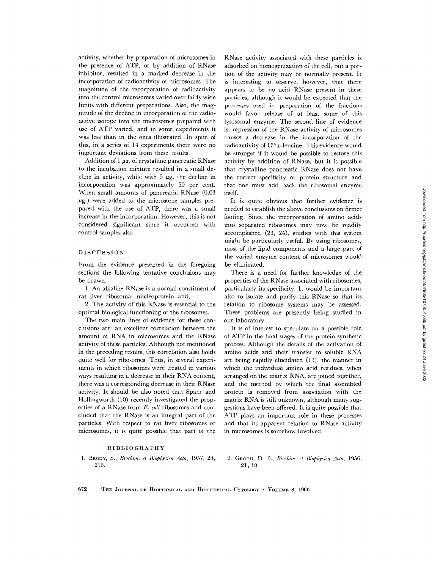activity, whether by preparation of microsomes in the presence of ATP, or by addition of RNase inhibitor, resulted in a marked decrease in the incorporation of radioactivity of microsomes. The magnitude of the incorporation of radioactivity into the control microsomes varied over fairly wide limits with different preparations, Also, the magnitude of the decline in incorporation of the radioactive isotope into the microsomes prepared with use of ATP varied, and in some experiments it was less than in the ones illustrated. In spite of this, in a series of 14 experiments there were no important deviations from these results.

Addition of  $1 \mu$ g. of crystalline pancreatic RNase to the incubation mixture resulted in a small decline in activity, while with  $5 \mu$ g. the decline in incorporation was approximately 50 per cent. When small amounts of pancreatic RNase (0.03  $\mu$ g.) were added to the microsome samples prepared with the use of ATP, there was a small increase in the incorporation. However, this is not considered significant since it occurred with control samples also.

#### DISCUSSION

From the evidence presented in the foregoing sections the following tentative conclusions may be drawn.

1. An alkaline RNase is a normal constituent of rat liver ribosomal nucleoprotein and,

2. The activity of this RNase is essential to the optimal biological functioning of the ribosomes.

The two main lines of evidence for these conclusions are: an excellent correlation between the amount of RNA in microsomes and the RNase activity of these particles. Although not mentioned in the preceding results, this correlation also holds quite well for ribosomes. Thus, in several experiments in which ribosomes were treated in various ways resulting in a decrease in their RNA content, there was a corresponding decrease in their RNase activity. It should be also noted that Spahr and Hollingworth (10) recently investigated the properties of a RNase from *E. coli* ribosomes and coneluded that the RNase is an integral part of the particles. With respect to rat liver ribosomes or microsomes, it is quite possible that part of the RNase activity associated with these particles is adsorbed on homogenization of the cell, but a portion of the activity may be normally present. It is interesting to observe, however, that there appears to be no acid RNase present in these particles, although it would be expected that the processes used in preparation of the fractions would favor release of at least some of this lysosomal enzyme. The second line of evidence is: repression of the RNase activity of microsomes causes a decrease in the incorporation of the radioactivity of C<sup>14</sup> L-leucine. This evidence would be stronger if it would be possible to restore this activity by addition of RNase, but it is possible that crystalline pancreatic RNase does not have the correct specificity or protein structure and that one must add back the ribosomal enzyme itself.

It is quite obvious that further evidence is needed to establish the above conclusions on firmer footing. Since the incorporation of amino acids into separated ribosomes may now be readily accomplished (23, 24), studies with this system might be particularly useful. By using ribosomes, most of the lipid components and a large part of the varied enzyme content of microsomes would be eliminated.

There is a need for further knowledge of the properties of the RNase associated with ribosomes, particularly its specificity. It would be important also to isolate and purify this RNase so that its relation to ribosome systems may be assessed. These problems are presently being studied in our laboratory.

It is of interest to speculate on a possible role of ATP in the final stages of the protein synthetic process. Although the details of the activation of amino acids and their transfer to soluble RNA are being rapidly elucidated (13), the manner in which the individual amino acid residues, when arranged on the matrix RNA, are joined together, and the method by which the final assembled protein is removed from association with the matrix RNA is still unknown, although many suggestions have been offered. It is quite possible that ATP plays an important role in these processes and that its apparent relation to RNase activity in microsomes is somehow involved.

#### BIBLIOGRAPHY

1. BRODY, S., *Biochim. el Biophysica Acta,* 1957, 24, 216.

2. GROTH, D. P., *Biochim. et Biophysica Acta,* 1956, **21,** 18.